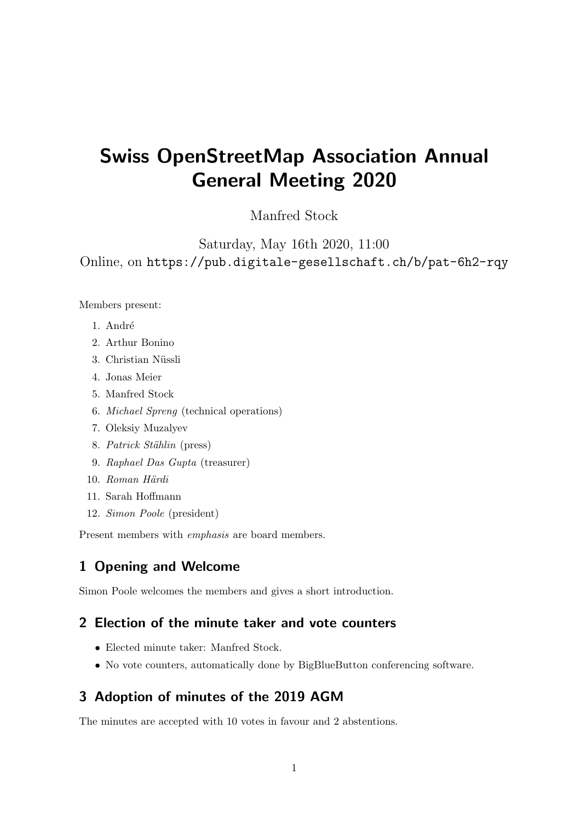# Swiss OpenStreetMap Association Annual General Meeting 2020

## Manfred Stock

Saturday, May 16th 2020, 11:00 Online, on <https://pub.digitale-gesellschaft.ch/b/pat-6h2-rqy>

Members present:

- 1. André
- 2. Arthur Bonino
- 3. Christian Nüssli
- 4. Jonas Meier
- 5. Manfred Stock
- 6. Michael Spreng (technical operations)
- 7. Oleksiy Muzalyev
- 8. Patrick Stählin (press)
- 9. Raphael Das Gupta (treasurer)
- 10. Roman Härdi
- 11. Sarah Hoffmann
- 12. Simon Poole (president)

Present members with emphasis are board members.

### 1 Opening and Welcome

Simon Poole welcomes the members and gives a short introduction.

## 2 Election of the minute taker and vote counters

- Elected minute taker: Manfred Stock.
- No vote counters, automatically done by BigBlueButton conferencing software.

# 3 Adoption of minutes of the 2019 AGM

The minutes are accepted with 10 votes in favour and 2 abstentions.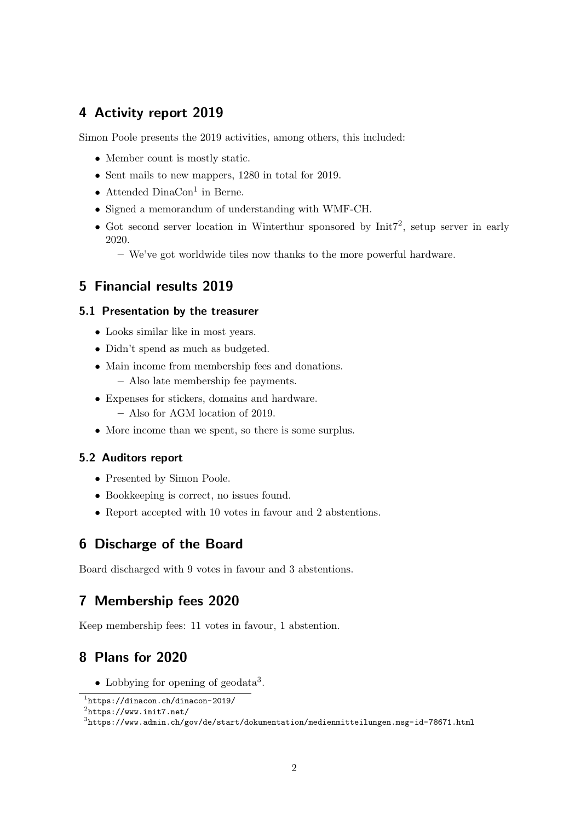## 4 Activity report 2019

Simon Poole presents the 2019 activities, among others, this included:

- Member count is mostly static.
- Sent mails to new mappers, 1280 in total for 2019.
- Attended DinaCon<sup>[1](#page-1-0)</sup> in Berne.
- Signed a memorandum of understanding with WMF-CH.
- Got second server location in Winterthur sponsored by  $Init7<sup>2</sup>$  $Init7<sup>2</sup>$  $Init7<sup>2</sup>$ , setup server in early 2020.
	- We've got worldwide tiles now thanks to the more powerful hardware.

## 5 Financial results 2019

#### 5.1 Presentation by the treasurer

- Looks similar like in most years.
- Didn't spend as much as budgeted.
- Main income from membership fees and donations.
	- Also late membership fee payments.
- Expenses for stickers, domains and hardware.
	- Also for AGM location of 2019.
- More income than we spent, so there is some surplus.

#### 5.2 Auditors report

- Presented by Simon Poole.
- Bookkeeping is correct, no issues found.
- Report accepted with 10 votes in favour and 2 abstentions.

### 6 Discharge of the Board

Board discharged with 9 votes in favour and 3 abstentions.

## 7 Membership fees 2020

Keep membership fees: 11 votes in favour, 1 abstention.

## 8 Plans for 2020

• Lobbying for opening of geodata<sup>[3](#page-1-2)</sup>.

<span id="page-1-0"></span><sup>1</sup> <https://dinacon.ch/dinacon-2019/>

<span id="page-1-1"></span> $^{2}$ <https://www.init7.net/>

<span id="page-1-2"></span> $^3$ <https://www.admin.ch/gov/de/start/dokumentation/medienmitteilungen.msg-id-78671.html>